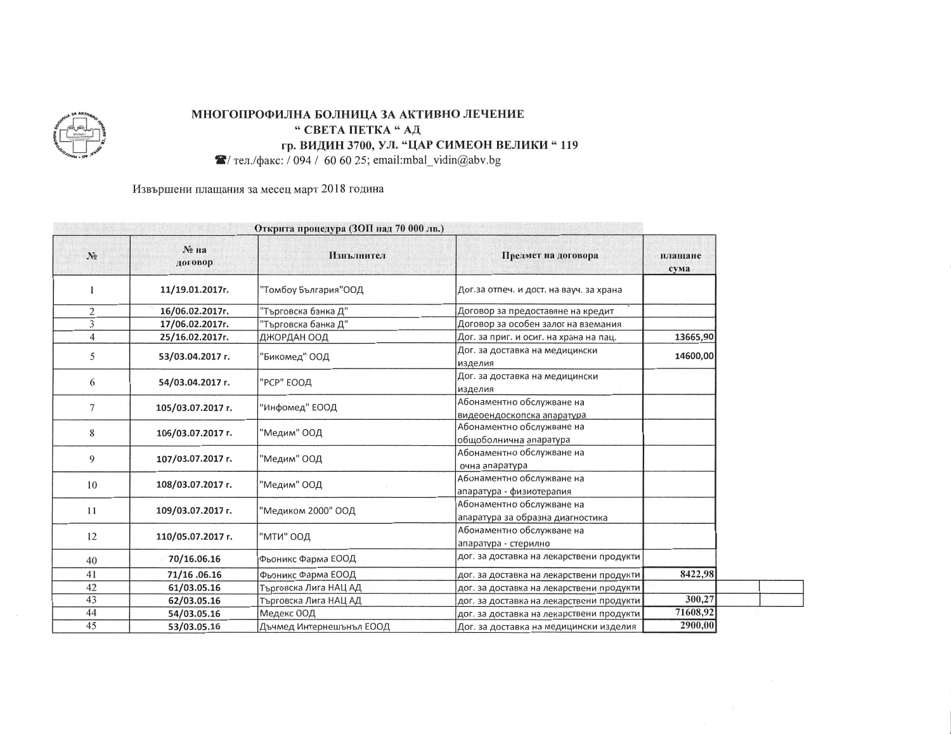

## МНОГОПРОФИЛНА БОЛНИЦА ЗА АКТИВНО ЛЕЧЕНИЕ " СВЕТА ПЕТКА "АД гр. ВИДИН 3700, УЛ. "ЦАР СИМЕОН ВЕЛИКИ "119  $\blacktriangleright$  тел./факс: / 094 / 60 60 25; email:mbal\_vidin@abv.bg

Извършени плащания за месец март 2018 година

| Открита процедура (ЗОП над 70 000 лв.) |                    |                          |                                                               |                 |  |
|----------------------------------------|--------------------|--------------------------|---------------------------------------------------------------|-----------------|--|
| $N_2$                                  | $N2$ Ha<br>договор | Изпълнител               | Предмет на договора                                           | плащане<br>сума |  |
|                                        | 11/19.01.2017r.    | "Томбоу България"ООД     | Дог.за отпеч. и дост. на вауч. за храна                       |                 |  |
| $\overline{2}$                         | 16/06.02.2017r.    | "Търговска банка Д"      | Договор за предоставяне на кредит                             |                 |  |
| 3                                      | 17/06.02.2017r.    | "Търговска банка Д"      | Договор за особен залог на вземания                           |                 |  |
| 4                                      | 25/16.02.2017г.    | ДЖОРДАН ООД              | Дог. за приг. и осиг. на храна на пац.                        | 13665,90        |  |
| 5                                      | 53/03.04.2017 г.   | 'Бикомед" ООД            | Дог. за доставка на медицински<br>изделия                     | 14600,00        |  |
| 6                                      | 54/03.04.2017 г.   | "РСР" ЕООД               | Дог. за доставка на медицински<br>изделия                     |                 |  |
| 7                                      | 105/03.07.2017 r.  | "Инфомед" ЕООД           | Абонаментно обслужване на<br>видеоендоскопска апаратура       |                 |  |
| 8                                      | 106/03.07.2017 г.  | "Медим" ООД              | Абонаментно обслужване на<br>общоболнична апаратура           |                 |  |
| 9                                      | 107/03.07.2017 г.  | "Медим" ООД              | Абонаментно обслужване на<br>очна апаратура                   |                 |  |
| 10                                     | 108/03.07.2017 r.  | "Медим" ООД              | Абонаментно обслужване на<br>апаратура - физиотерапия         |                 |  |
| 11                                     | 109/03.07.2017 г.  | "Медиком 2000" ООД       | Абонаментно обслужване на<br>апаратура за образна диагностика |                 |  |
| 12                                     | 110/05.07.2017 r.  | "МТИ" ООД                | Абонаментно обслужване на<br>апаратура - стерилно             |                 |  |
| 40                                     | 70/16.06.16        | Фьоникс Фарма ЕООД       | дог. за доставка на лекарствени продукти                      |                 |  |
| 41                                     | 71/16.06.16        | Фьоникс Фарма ЕООД       | дог. за доставка на лекарствени продукти                      | 8422,98         |  |
| 42                                     | 61/03.05.16        | Гърговска Лига НАЦ АД    | дог. за доставка на лекарствени продукти                      |                 |  |
| 43                                     | 62/03.05.16        | Търговска Лига НАЦ АД    | дог. за доставка на лекарствени продукти                      | 300,27          |  |
| 44                                     | 54/03.05.16        | Медекс ООД               | дог. за доставка на лекарствени продукти                      | 71608,92        |  |
| 45                                     | 53/03.05.16        | Дъчмед Интернешънъл ЕООД | Дог. за доставка на медицински изделия                        | 2900,00         |  |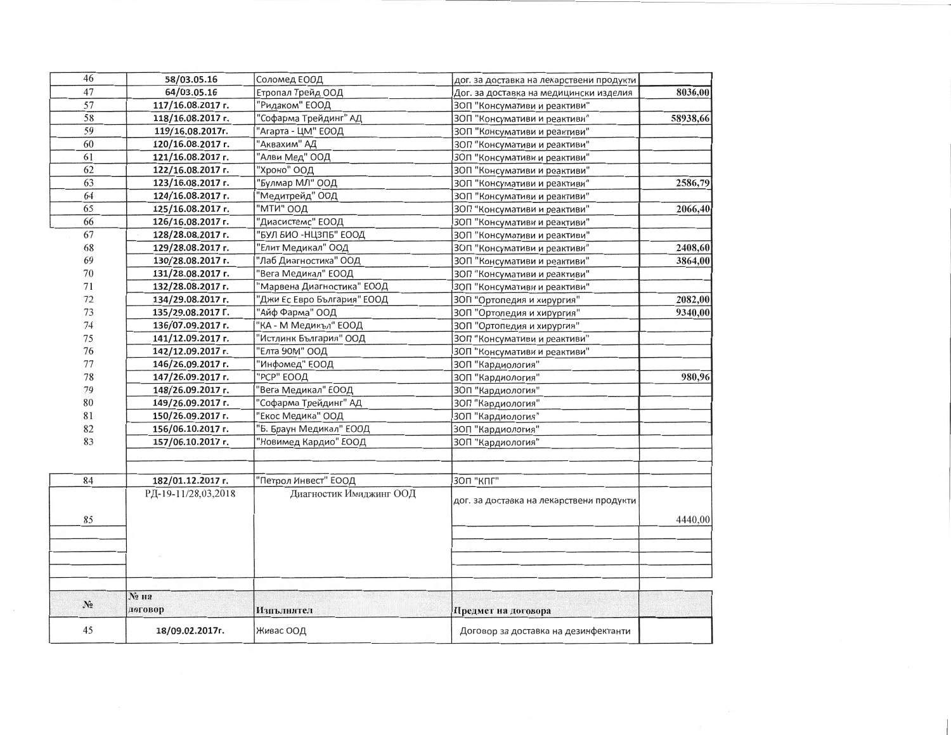| 46    | 58/03.05.16         | Соломед ЕООД                | дог. за доставка на лекарствени продукти |          |
|-------|---------------------|-----------------------------|------------------------------------------|----------|
| 47    | 64/03.05.16         | Етропал Трейд ООД           | Дог. за доставка на медицински изделия   | 8036,00  |
| 57    | 117/16.08.2017 г.   | "Ридаком" ЕООД              | ЗОП "Консумативи и реактиви"             |          |
| 58    | 118/16.08.2017 г.   | "Софарма Трейдинг" АД       | ЗОП "Консумативи и реактиви"             | 58938,66 |
| 59    | 119/16.08.2017г.    | "Агарта - ЦМ" ЕООД          | ЗОП "Консумативи и реактиви"             |          |
| 60    | 120/16.08.2017 г.   | "Аквахим" АД                | ЗОП "Консумативи и реактиви"             |          |
| 61    | 121/16.08.2017 г.   | "Алви Мед" ООД              | 3ОП "Консумативи и реактиви"             |          |
| 62    | 122/16.08.2017 г.   | "Хроно" ООД                 | ЗОП "Консумативи и реактиви"             |          |
| 63    | 123/16.08.2017 г.   | "Булмар МЛ" ООД             | 30П "Консумативи и реактиви"             | 2586,79  |
| 64    | 124/16.08.2017 г.   | "Медитрейд" ООД             | ЗОП "Консумативи и реактиви"             |          |
| 65    | 125/16.08.2017 г.   | "мти" оод                   | ЗОП "Консумативи и реактиви"             | 2066,40  |
| 66    | 126/16.08.2017 г.   | "Диасистемс" ЕООД           | ЗОП "Консумативи и реактиви"             |          |
| 67    | 128/28.08.2017 г.   | "БУЛ БИО -НЦЗПБ" ЕООД       | ЗОП "Консумативи и реактиви"             |          |
| 68    | 129/28.08.2017 г.   | "Елит Медикал" ООД          | ЗОП "Консумативи и реактиви"             | 2408,60  |
| 69    | 130/28.08.2017 г.   | "Лаб Диагностика" ООД       | ЗОП "Консумативи и реактиви"             | 3864,00  |
| 70    | 131/28.08.2017 г.   | Вега Медикал" ЕООД          | ЗОП "Консумативи и реактиви"             |          |
| 71    | 132/28.08.2017 г.   | "Марвена Диагностика" ЕООД  | ЗОП "Консумативи и реактиви"             |          |
| 72    | 134/29.08.2017 г.   | "Джи Ес Евро България" ЕООД | ЗОП "Ортопедия и хирургия"               | 2082,00  |
| 73    | 135/29.08.2017 Г.   | "Айф Фарма" ООД             | ЗОП "Ортопедия и хирургия"               | 9340,00  |
| 74    | 136/07.09.2017 r.   | "КА - М Медикъл" ЕООД       | ЗОП "Ортопедия и хирургия"               |          |
| 75    | 141/12.09.2017 г.   | "Истлинк България" ООД      | ЗОП "Консумативи и реактиви"             |          |
| 76    | 142/12.09.2017 г.   | "Елта 90М" ООД              | ЗОП "Консумативи и реактиви"             |          |
| 77    | 146/26.09.2017 г.   | "Инфомед" ЕООД              | ЗОП "Кардиология"                        |          |
| 78    | 147/26.09.2017 г.   | "РСР" ЕООД                  | ЗОП "Кардиология"                        | 980,96   |
| 79    | 148/26.09.2017 г.   | Вега Медикал" ЕООД          | ЗОП "Кардиология"                        |          |
| 80    | 149/26.09.2017 г.   | "Софарма Трейдинг" АД       | 3ОП "Кардиология"                        |          |
| 81    | 150/26.09.2017 r.   | Екос Медика" ООД            | ЗОП "Кардиология"                        |          |
| 82    | 156/06.10.2017 r.   | "Б. Браун Медикал" ЕООД     | 3ОП "Кардиология"                        |          |
| 83    | 157/06.10.2017 г.   | "Новимед Кардио" ЕООД       | ЗОП "Кардиология"                        |          |
| 84    | 182/01.12.2017 r.   | "Петрол Инвест" ЕООД        | ЗОП "КПГ"                                |          |
|       | РД-19-11/28,03,2018 | Диагностик Имиджинг ООД     | дог. за доставка на лекарствени продукти |          |
| 85    |                     |                             |                                          | 4440,00  |
|       |                     |                             |                                          |          |
|       | № на                |                             |                                          |          |
| $N_2$ | договор             | Изпълнител                  | Предмет на договора                      |          |
| 45    | 18/09.02.2017r.     | Живас ООД                   | Договор за доставка на дезинфектанти     |          |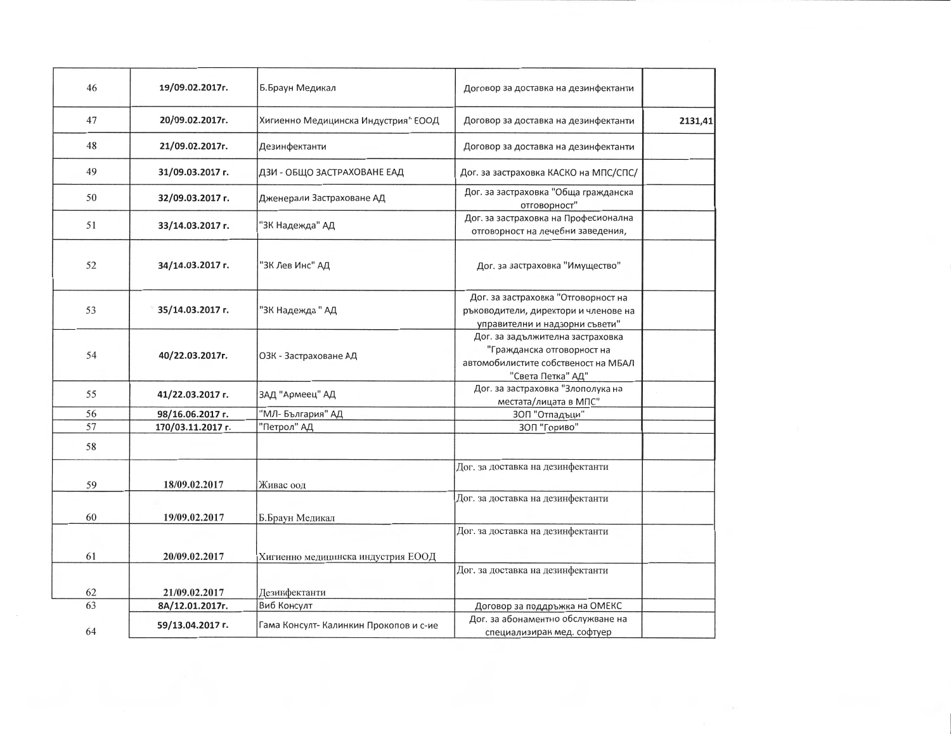| 46 | 19/09.02.2017r.   | Б.Браун Медикал                        | Договор за доставка на дезинфектанти                                                                                       |         |
|----|-------------------|----------------------------------------|----------------------------------------------------------------------------------------------------------------------------|---------|
| 47 | 20/09.02.2017r.   | Хигиенно Медицинска Индустрия" ЕООД    | Договор за доставка на дезинфектанти                                                                                       | 2131,41 |
| 48 | 21/09.02.2017г.   | Дезинфектанти                          | Договор за доставка на дезинфектанти                                                                                       |         |
| 49 | 31/09.03.2017 г.  | ДЗИ - ОБЩО ЗАСТРАХОВАНЕ ЕАД            | Дог. за застраховка КАСКО на МПС/СПС/                                                                                      |         |
| 50 | 32/09.03.2017 г.  | Дженерали Застраховане АД              | Дог. за застраховка "Обща гражданска<br>отговорност"                                                                       |         |
| 51 | 33/14.03.2017 г.  | "ЗК Надежда" АД                        | Дог. за застраховка на Професионална<br>отговорност на лечебни заведения,                                                  |         |
| 52 | 34/14.03.2017 г.  | "ЗК Лев Инс" АД                        | Дог. за застраховка "Имущество"                                                                                            |         |
| 53 | 35/14.03.2017 г.  | "ЗК Надежда" АД                        | Дог. за застраховка "Отговорност на<br>ръководители, директори и членове на<br>управителни и надзорни съвети"              |         |
| 54 | 40/22.03.2017г.   | ОЗК - Застраховане АД                  | Дог. за задължителна застраховка<br>"Гражданска отговорност на<br>автомобилистите собственост на МБАЛ<br>"Света Петка" АД" |         |
| 55 | 41/22.03.2017 г.  | ЗАД "Армеец" АД                        | Дог. за застраховка "Злополука на<br>местата/лицата в МПС"                                                                 |         |
| 56 | 98/16.06.2017 г.  | "МЛ- България" АД                      | 30П "Отпадъци"                                                                                                             |         |
| 57 | 170/03.11.2017 г. | "Петрол" АД                            | 3ОП "Гориво"                                                                                                               |         |
| 58 |                   |                                        |                                                                                                                            |         |
| 59 | 18/09.02.2017     | Живас оод                              | Дог. за доставка на дезинфектанти                                                                                          |         |
| 60 | 19/09.02.2017     | Б.Браун Медикал                        | Дог. за доставка на дезинфектанти                                                                                          |         |
|    |                   |                                        | Дог. за доставка на дезинфектанти                                                                                          |         |
| 61 | 20/09.02.2017     | Хигиенно медицинска индустрия ЕООД     |                                                                                                                            |         |
| 62 | 21/09.02.2017     | Дезинфектанти                          | Дог. за доставка на дезинфектанти                                                                                          |         |
| 63 | 8A/12.01.2017r.   | Виб Консулт                            | Договор за поддръжка на ОМЕКС                                                                                              |         |
|    |                   |                                        | Дог. за абонаментно обслужване на                                                                                          |         |
| 64 | 59/13.04.2017 г.  | Гама Консулт- Калинкин Прокопов и с-ие | специализиран мед. софтуер                                                                                                 |         |